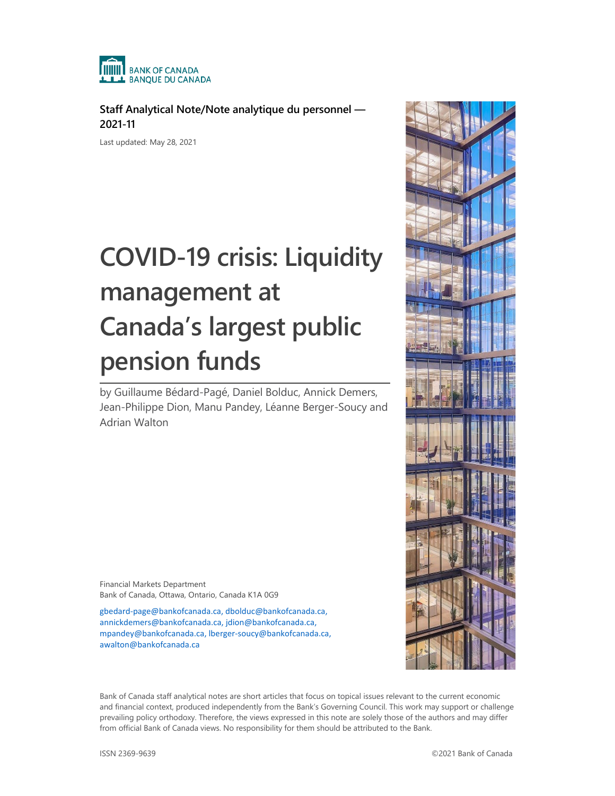

**Staff Analytical Note/Note analytique du personnel — 2021-11**

Last updated: May 28, 2021

# **COVID-19 crisis: Liquidity management at Canada's largest public pension funds**

by Guillaume Bédard-Pagé, Daniel Bolduc, Annick Demers, Jean-Philippe Dion, Manu Pandey, Léanne Berger-Soucy and Adrian Walton

Financial Markets Department Bank of Canada, Ottawa, Ontario, Canada K1A 0G9

[gbedard-page@bankofcanada.ca,](mailto:gbedard-page@bankofcanada.ca) [dbolduc@bankofcanada.ca,](mailto:DBolduc@bankofcanada.ca) [annickdemers@bankofcanada.ca,](mailto:annickdemers@bankofcanada.ca) [jdion@bankofcanada.ca,](mailto:JDion@bankofcanada.ca)  [mpandey@bankofcanada.ca,](mailto:MPandey@bankofcanada.ca) [lberger-soucy@bankofcanada.ca,](mailto:LBerger-Soucy@bankofcanada.ca)  [awalton@bankofcanada.ca](mailto:awalton@bankofcanada.ca)



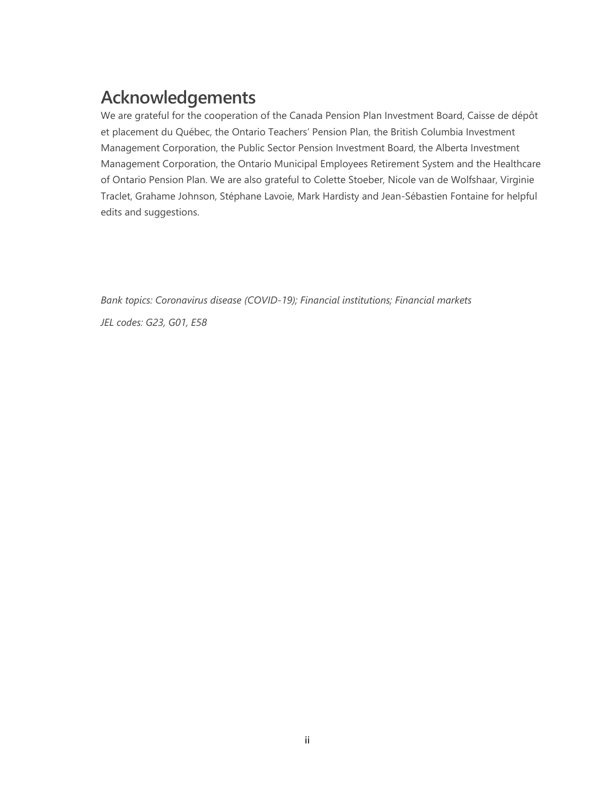# **Acknowledgements**

We are grateful for the cooperation of the Canada Pension Plan Investment Board, Caisse de dépôt et placement du Québec, the Ontario Teachers' Pension Plan, the British Columbia Investment Management Corporation, the Public Sector Pension Investment Board, the Alberta Investment Management Corporation, the Ontario Municipal Employees Retirement System and the Healthcare of Ontario Pension Plan. We are also grateful to Colette Stoeber, Nicole van de Wolfshaar, Virginie Traclet, Grahame Johnson, Stéphane Lavoie, Mark Hardisty and Jean-Sébastien Fontaine for helpful edits and suggestions.

*Bank topics: Coronavirus disease (COVID-19); Financial institutions; Financial markets JEL codes: G23, G01, E58*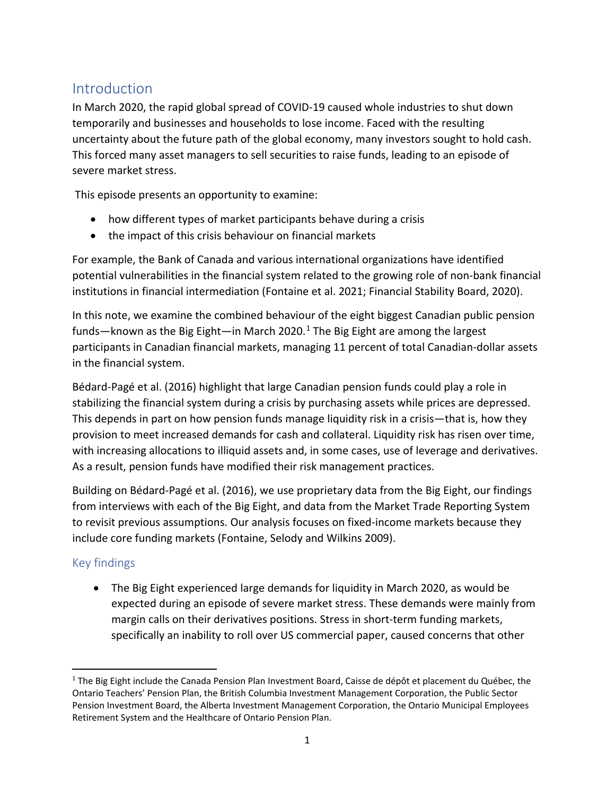# **Introduction**

In March 2020, the rapid global spread of COVID-19 caused whole industries to shut down temporarily and businesses and households to lose income. Faced with the resulting uncertainty about the future path of the global economy, many investors sought to hold cash. This forced many asset managers to sell securities to raise funds, leading to an episode of severe market stress.

This episode presents an opportunity to examine:

- how different types of market participants behave during a crisis
- the impact of this crisis behaviour on financial markets

For example, the Bank of Canada and various international organizations have identified potential vulnerabilities in the financial system related to the growing role of non-bank financial institutions in financial intermediation (Fontaine et al. 2021; Financial Stability Board, 2020).

In this note, we examine the combined behaviour of the eight biggest Canadian public pension funds—known as the Big Eight—in March 2020.<sup>[1](#page-2-0)</sup> The Big Eight are among the largest participants in Canadian financial markets, managing 11 percent of total Canadian-dollar assets in the financial system.

Bédard-Pagé et al. (2016) highlight that large Canadian pension funds could play a role in stabilizing the financial system during a crisis by purchasing assets while prices are depressed. This depends in part on how pension funds manage liquidity risk in a crisis—that is, how they provision to meet increased demands for cash and collateral. Liquidity risk has risen over time, with increasing allocations to illiquid assets and, in some cases, use of leverage and derivatives. As a result, pension funds have modified their risk management practices.

Building on Bédard-Pagé et al. (2016), we use proprietary data from the Big Eight, our findings from interviews with each of the Big Eight, and data from the Market Trade Reporting System to revisit previous assumptions. Our analysis focuses on fixed-income markets because they include core funding markets (Fontaine, Selody and Wilkins 2009).

# Key findings

• The Big Eight experienced large demands for liquidity in March 2020, as would be expected during an episode of severe market stress. These demands were mainly from margin calls on their derivatives positions. Stress in short-term funding markets, specifically an inability to roll over US commercial paper, caused concerns that other

<span id="page-2-0"></span><sup>&</sup>lt;sup>1</sup> The Big Eight include the Canada Pension Plan Investment Board, Caisse de dépôt et placement du Québec, the Ontario Teachers' Pension Plan, the British Columbia Investment Management Corporation, the Public Sector Pension Investment Board, the Alberta Investment Management Corporation, the Ontario Municipal Employees Retirement System and the Healthcare of Ontario Pension Plan.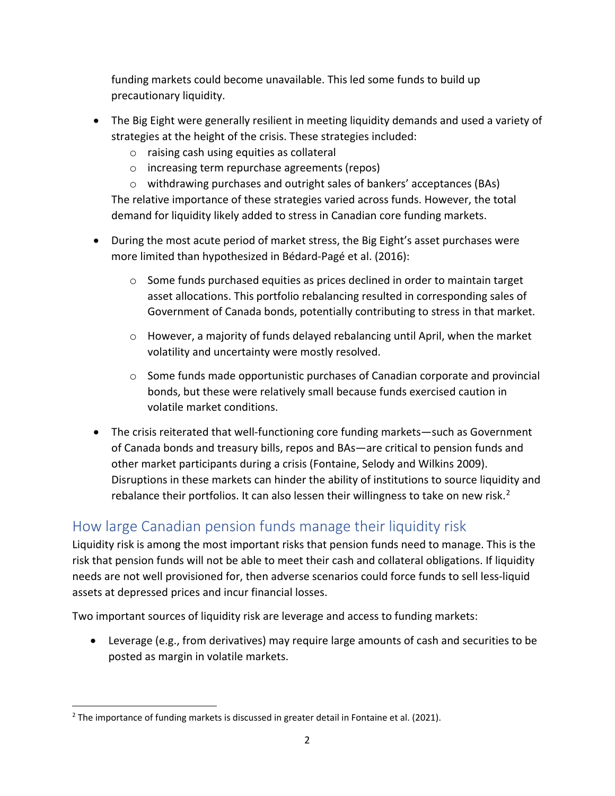funding markets could become unavailable. This led some funds to build up precautionary liquidity.

- The Big Eight were generally resilient in meeting liquidity demands and used a variety of strategies at the height of the crisis. These strategies included:
	- o raising cash using equities as collateral
	- o increasing term repurchase agreements (repos)

o withdrawing purchases and outright sales of bankers' acceptances (BAs) The relative importance of these strategies varied across funds. However, the total demand for liquidity likely added to stress in Canadian core funding markets.

- During the most acute period of market stress, the Big Eight's asset purchases were more limited than hypothesized in Bédard-Pagé et al. (2016):
	- $\circ$  Some funds purchased equities as prices declined in order to maintain target asset allocations. This portfolio rebalancing resulted in corresponding sales of Government of Canada bonds, potentially contributing to stress in that market.
	- o However, a majority of funds delayed rebalancing until April, when the market volatility and uncertainty were mostly resolved.
	- o Some funds made opportunistic purchases of Canadian corporate and provincial bonds, but these were relatively small because funds exercised caution in volatile market conditions.
- The crisis reiterated that well-functioning core funding markets—such as Government of Canada bonds and treasury bills, repos and BAs—are critical to pension funds and other market participants during a crisis (Fontaine, Selody and Wilkins 2009). Disruptions in these markets can hinder the ability of institutions to source liquidity and rebalance their portfolios. It can also lessen their willingness to take on new risk.<sup>[2](#page-3-0)</sup>

# How large Canadian pension funds manage their liquidity risk

Liquidity risk is among the most important risks that pension funds need to manage. This is the risk that pension funds will not be able to meet their cash and collateral obligations. If liquidity needs are not well provisioned for, then adverse scenarios could force funds to sell less-liquid assets at depressed prices and incur financial losses.

Two important sources of liquidity risk are leverage and access to funding markets:

• Leverage (e.g., from derivatives) may require large amounts of cash and securities to be posted as margin in volatile markets.

<span id="page-3-0"></span> $2$  The importance of funding markets is discussed in greater detail in Fontaine et al. (2021).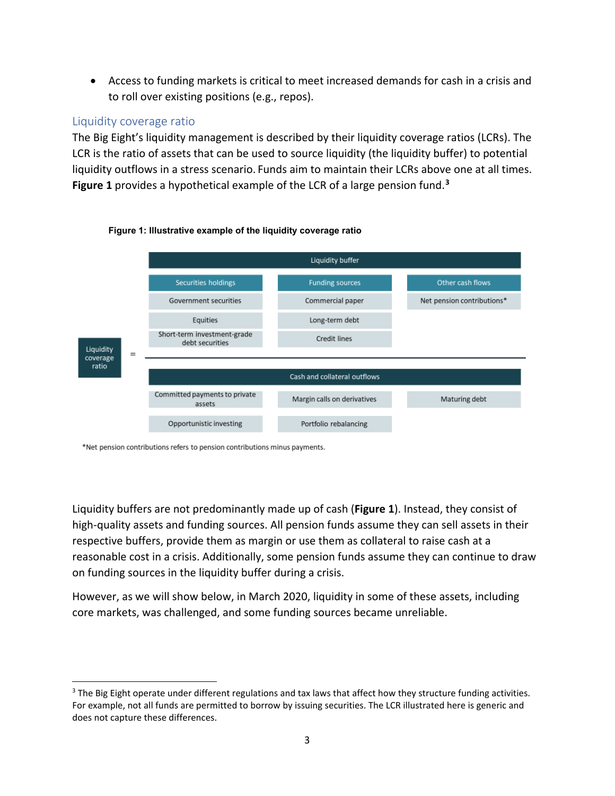• Access to funding markets is critical to meet increased demands for cash in a crisis and to roll over existing positions (e.g., repos).

### Liquidity coverage ratio

The Big Eight's liquidity management is described by their liquidity coverage ratios (LCRs). The LCR is the ratio of assets that can be used to source liquidity (the liquidity buffer) to potential liquidity outflows in a stress scenario. Funds aim to maintain their LCRs above one at all times. **Figure 1** provides a hypothetical example of the LCR of a large pension fund. **[3](#page-4-0)**



#### **Figure 1: Illustrative example of the liquidity coverage ratio**

\*Net pension contributions refers to pension contributions minus payments.

Liquidity buffers are not predominantly made up of cash (**Figure 1**). Instead, they consist of high-quality assets and funding sources. All pension funds assume they can sell assets in their respective buffers, provide them as margin or use them as collateral to raise cash at a reasonable cost in a crisis. Additionally, some pension funds assume they can continue to draw on funding sources in the liquidity buffer during a crisis.

However, as we will show below, in March 2020, liquidity in some of these assets, including core markets, was challenged, and some funding sources became unreliable.

<span id="page-4-0"></span> $3$  The Big Eight operate under different regulations and tax laws that affect how they structure funding activities. For example, not all funds are permitted to borrow by issuing securities. The LCR illustrated here is generic and does not capture these differences.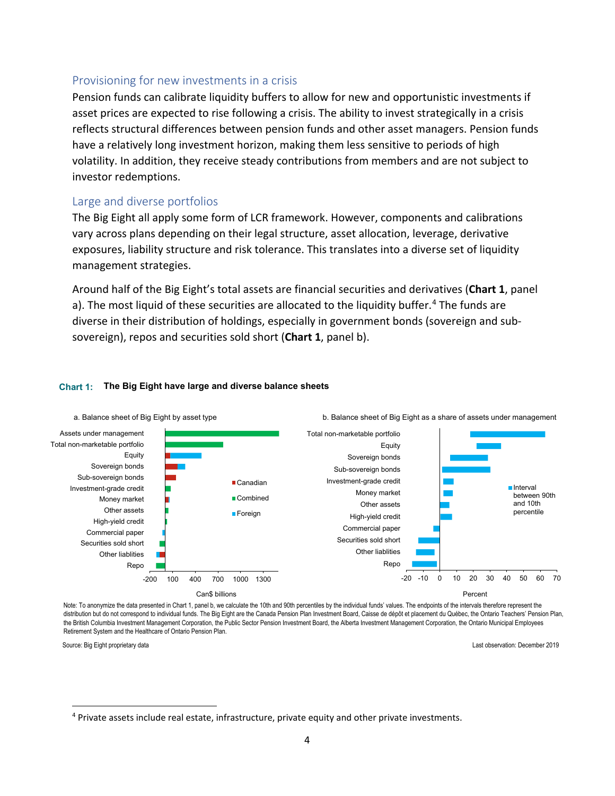### Provisioning for new investments in a crisis

Pension funds can calibrate liquidity buffers to allow for new and opportunistic investments if asset prices are expected to rise following a crisis. The ability to invest strategically in a crisis reflects structural differences between pension funds and other asset managers. Pension funds have a relatively long investment horizon, making them less sensitive to periods of high volatility. In addition, they receive steady contributions from members and are not subject to investor redemptions.

### Large and diverse portfolios

The Big Eight all apply some form of LCR framework. However, components and calibrations vary across plans depending on their legal structure, asset allocation, leverage, derivative exposures, liability structure and risk tolerance. This translates into a diverse set of liquidity management strategies.

Around half of the Big Eight's total assets are financial securities and derivatives (**Chart 1**, panel a). The most liquid of these securities are allocated to the liquidity buffer. [4](#page-5-0) The funds are diverse in their distribution of holdings, especially in government bonds (sovereign and subsovereign), repos and securities sold short (**Chart 1**, panel b).

#### **Chart 1: The Big Eight have large and diverse balance sheets**



Note: To anonymize the data presented in Chart 1, panel b, we calculate the 10th and 90th percentiles by the individual funds' values. The endpoints of the intervals therefore represent the distribution but do not correspond to individual funds. The Big Eight are the Canada Pension Plan Investment Board, Caisse de dépôt et placement du Québec, the Ontario Teachers' Pension Plan, the British Columbia Investment Management Corporation, the Public Sector Pension Investment Board, the Alberta Investment Management Corporation, the Ontario Municipal Employees Retirement System and the Healthcare of Ontario Pension Plan.

Source: Big Eight proprietary data

Last observation: December 2019

<span id="page-5-0"></span><sup>4</sup> Private assets include real estate, infrastructure, private equity and other private investments.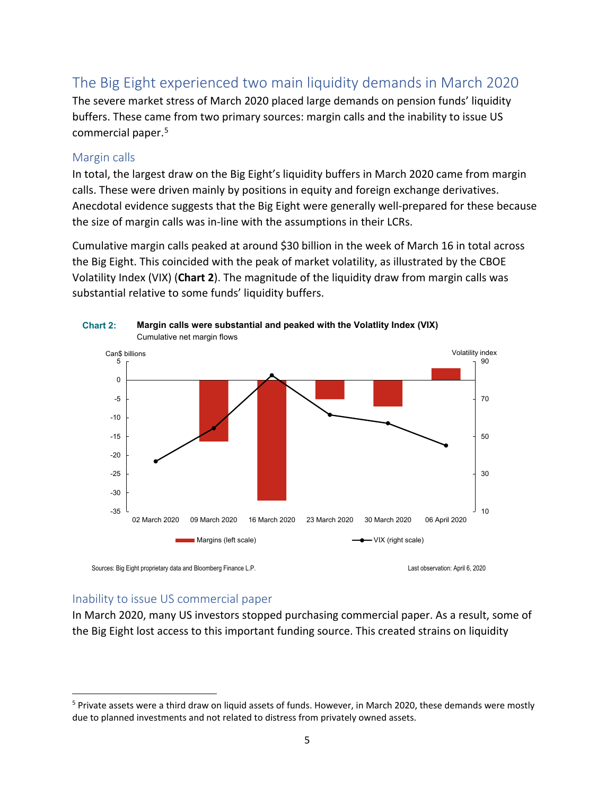# The Big Eight experienced two main liquidity demands in March 2020

The severe market stress of March 2020 placed large demands on pension funds' liquidity buffers. These came from two primary sources: margin calls and the inability to issue US commercial paper. [5](#page-6-0) 

### Margin calls

In total, the largest draw on the Big Eight's liquidity buffers in March 2020 came from margin calls. These were driven mainly by positions in equity and foreign exchange derivatives. Anecdotal evidence suggests that the Big Eight were generally well-prepared for these because the size of margin calls was in-line with the assumptions in their LCRs.

Cumulative margin calls peaked at around \$30 billion in the week of March 16 in total across the Big Eight. This coincided with the peak of market volatility, as illustrated by the CBOE Volatility Index (VIX) (**Chart 2**). The magnitude of the liquidity draw from margin calls was substantial relative to some funds' liquidity buffers.



Sources: Big Eight proprietary data and Bloomberg Finance L.P. Change Company of the Company of the Last observation: April 6, 2020

### Inability to issue US commercial paper

In March 2020, many US investors stopped purchasing commercial paper. As a result, some of the Big Eight lost access to this important funding source. This created strains on liquidity

<span id="page-6-0"></span><sup>&</sup>lt;sup>5</sup> Private assets were a third draw on liquid assets of funds. However, in March 2020, these demands were mostly due to planned investments and not related to distress from privately owned assets.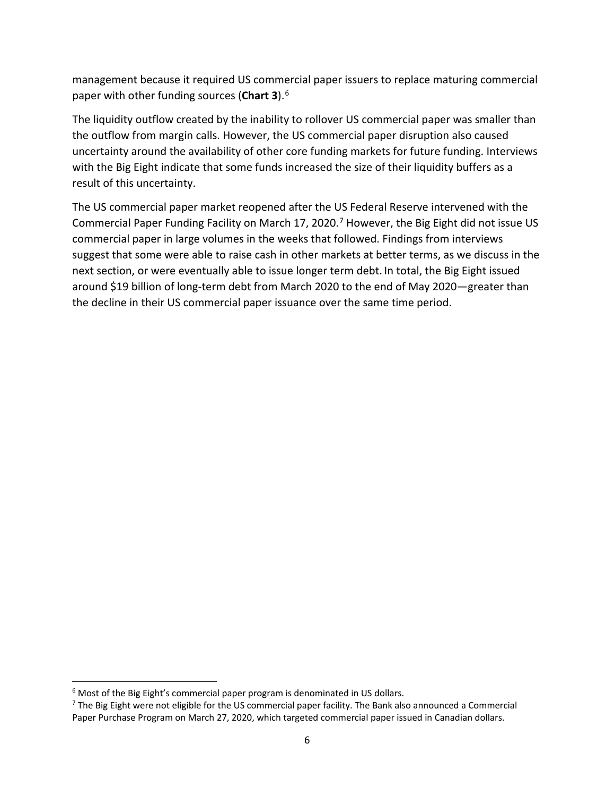management because it required US commercial paper issuers to replace maturing commercial paper with other funding sources (**Chart 3**).[6](#page-7-0)

The liquidity outflow created by the inability to rollover US commercial paper was smaller than the outflow from margin calls. However, the US commercial paper disruption also caused uncertainty around the availability of other core funding markets for future funding. Interviews with the Big Eight indicate that some funds increased the size of their liquidity buffers as a result of this uncertainty.

The US commercial paper market reopened after the US Federal Reserve intervened with the Commercial Paper Funding Facility on March 17, 2020. [7](#page-7-1) However, the Big Eight did not issue US commercial paper in large volumes in the weeks that followed. Findings from interviews suggest that some were able to raise cash in other markets at better terms, as we discuss in the next section, or were eventually able to issue longer term debt. In total, the Big Eight issued around \$19 billion of long-term debt from March 2020 to the end of May 2020—greater than the decline in their US commercial paper issuance over the same time period.

<span id="page-7-0"></span> $6$  Most of the Big Eight's commercial paper program is denominated in US dollars.

<span id="page-7-1"></span> $<sup>7</sup>$  The Big Eight were not eligible for the US commercial paper facility. The Bank also announced a Commercial</sup> Paper Purchase Program on March 27, 2020, which targeted commercial paper issued in Canadian dollars.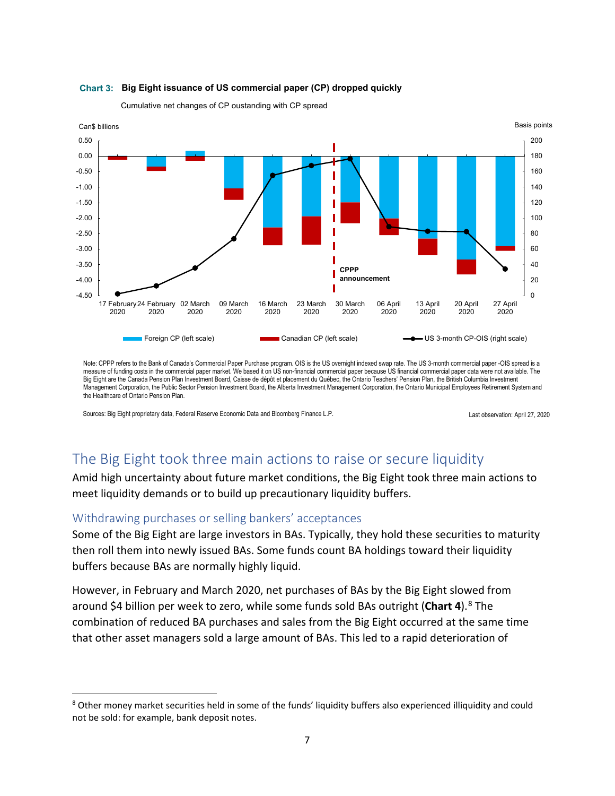

#### **Chart 3: Big Eight issuance of US commercial paper (CP) dropped quickly**

Cumulative net changes of CP oustanding with CP spread

Note: CPPP refers to the Bank of Canada's Commercial Paper Purchase program. OIS is the US overnight indexed swap rate. The US 3-month commercial paper -OIS spread is a measure of funding costs in the commercial paper market. We based it on US non-financial commercial paper because US financial commercial paper data were not available. The Big Eight are the Canada Pension Plan Investment Board, Caisse de dépôt et placement du Québec, the Ontario Teachers' Pension Plan, the British Columbia Investment Management Corporation, the Public Sector Pension Investment Board, the Alberta Investment Management Corporation, the Ontario Municipal Employees Retirement System and the Healthcare of Ontario Pension Plan.

Sources: Big Eight proprietary data, Federal Reserve Economic Data and Bloomberg Finance L.P. Last observation: April 27, 2020

# The Big Eight took three main actions to raise or secure liquidity

Amid high uncertainty about future market conditions, the Big Eight took three main actions to meet liquidity demands or to build up precautionary liquidity buffers.

#### Withdrawing purchases or selling bankers' acceptances

Some of the Big Eight are large investors in BAs. Typically, they hold these securities to maturity then roll them into newly issued BAs. Some funds count BA holdings toward their liquidity buffers because BAs are normally highly liquid.

However, in February and March 2020, net purchases of BAs by the Big Eight slowed from around \$4 billion per week to zero, while some funds sold BAs outright (**Chart 4**).[8](#page-8-0) The combination of reduced BA purchases and sales from the Big Eight occurred at the same time that other asset managers sold a large amount of BAs. This led to a rapid deterioration of

<span id="page-8-0"></span><sup>8</sup> Other money market securities held in some of the funds' liquidity buffers also experienced illiquidity and could not be sold: for example, bank deposit notes.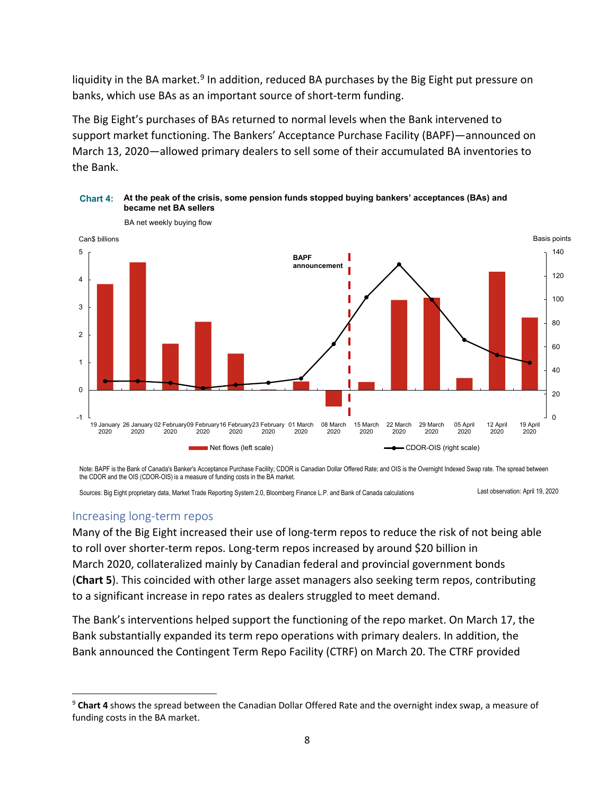liquidity in the BA market.<sup>[9](#page-9-0)</sup> In addition, reduced BA purchases by the Big Eight put pressure on banks, which use BAs as an important source of short-term funding.

The Big Eight's purchases of BAs returned to normal levels when the Bank intervened to support market functioning. The Bankers' Acceptance Purchase Facility (BAPF)—announced on March 13, 2020—allowed primary dealers to sell some of their accumulated BA inventories to the Bank.



**Chart 4: At the peak of the crisis, some pension funds stopped buying bankers' acceptances (BAs) and became net BA sellers** 

Note: BAPF is the Bank of Canada's Banker's Acceptance Purchase Facility; CDOR is Canadian Dollar Offered Rate; and OIS is the Overnight Indexed Swap rate. The spread between the CDOR and the OIS (CDOR-OIS) is a measure of funding costs in the BA market.

Sources: Big Eight proprietary data, Market Trade Reporting System 2.0, Bloomberg Finance L.P. and Bank of Canada calculations Last observation: April 19, 2020

### Increasing long-term repos

Many of the Big Eight increased their use of long-term repos to reduce the risk of not being able to roll over shorter-term repos. Long-term repos increased by around \$20 billion in March 2020, collateralized mainly by Canadian federal and provincial government bonds (**Chart 5**). This coincided with other large asset managers also seeking term repos, contributing to a significant increase in repo rates as dealers struggled to meet demand.

The Bank's interventions helped support the functioning of the repo market. On March 17, the Bank substantially expanded its term repo operations with primary dealers. In addition, the Bank announced the Contingent Term Repo Facility (CTRF) on March 20. The CTRF provided

<span id="page-9-0"></span><sup>9</sup> **Chart 4** shows the spread between the Canadian Dollar Offered Rate and the overnight index swap, a measure of funding costs in the BA market.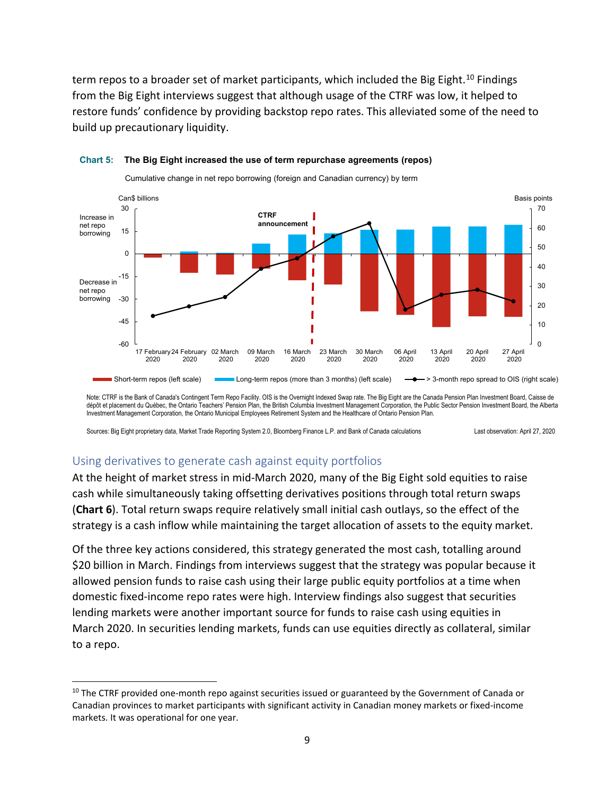term repos to a broader set of market participants, which included the Big Eight.<sup>[10](#page-10-0)</sup> Findings from the Big Eight interviews suggest that although usage of the CTRF was low, it helped to restore funds' confidence by providing backstop repo rates. This alleviated some of the need to build up precautionary liquidity.



#### **Chart 5: The Big Eight increased the use of term repurchase agreements (repos)**

Cumulative change in net repo borrowing (foreign and Canadian currency) by term

Note: CTRF is the Bank of Canada's Contingent Term Repo Facility. OIS is the Overnight Indexed Swap rate. The Big Eight are the Canada Pension Plan Investment Board, Caisse de dépôt et placement du Québec, the Ontario Teachers' Pension Plan, the British Columbia Investment Management Corporation, the Public Sector Pension Investment Board, the Alberta Investment Management Corporation, the Ontario Municipal Employees Retirement System and the Healthcare of Ontario Pension Plan.

Sources: Big Eight proprietary data, Market Trade Reporting System 2.0, Bloomberg Finance L.P. and Bank of Canada calculations Last observation: April 27, 2020

### Using derivatives to generate cash against equity portfolios

At the height of market stress in mid-March 2020, many of the Big Eight sold equities to raise cash while simultaneously taking offsetting derivatives positions through total return swaps (**Chart 6**). Total return swaps require relatively small initial cash outlays, so the effect of the strategy is a cash inflow while maintaining the target allocation of assets to the equity market.

Of the three key actions considered, this strategy generated the most cash, totalling around \$20 billion in March. Findings from interviews suggest that the strategy was popular because it allowed pension funds to raise cash using their large public equity portfolios at a time when domestic fixed-income repo rates were high. Interview findings also suggest that securities lending markets were another important source for funds to raise cash using equities in March 2020. In securities lending markets, funds can use equities directly as collateral, similar to a repo.

<span id="page-10-0"></span><sup>&</sup>lt;sup>10</sup> The CTRF provided one-month repo against securities issued or guaranteed by the Government of Canada or Canadian provinces to market participants with significant activity in Canadian money markets or fixed-income markets. It was operational for one year.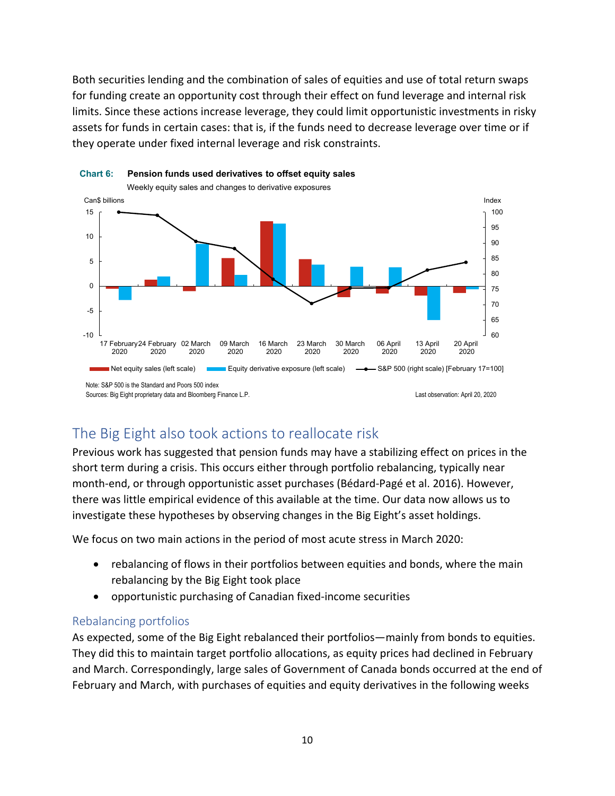Both securities lending and the combination of sales of equities and use of total return swaps for funding create an opportunity cost through their effect on fund leverage and internal risk limits. Since these actions increase leverage, they could limit opportunistic investments in risky assets for funds in certain cases: that is, if the funds need to decrease leverage over time or if they operate under fixed internal leverage and risk constraints.



# **Chart 6: Pension funds used derivatives to offset equity sales**

# The Big Eight also took actions to reallocate risk

Previous work has suggested that pension funds may have a stabilizing effect on prices in the short term during a crisis. This occurs either through portfolio rebalancing, typically near month-end, or through opportunistic asset purchases (Bédard-Pagé et al. 2016). However, there was little empirical evidence of this available at the time. Our data now allows us to investigate these hypotheses by observing changes in the Big Eight's asset holdings.

We focus on two main actions in the period of most acute stress in March 2020:

- rebalancing of flows in their portfolios between equities and bonds, where the main rebalancing by the Big Eight took place
- opportunistic purchasing of Canadian fixed-income securities

### Rebalancing portfolios

As expected, some of the Big Eight rebalanced their portfolios—mainly from bonds to equities. They did this to maintain target portfolio allocations, as equity prices had declined in February and March. Correspondingly, large sales of Government of Canada bonds occurred at the end of February and March, with purchases of equities and equity derivatives in the following weeks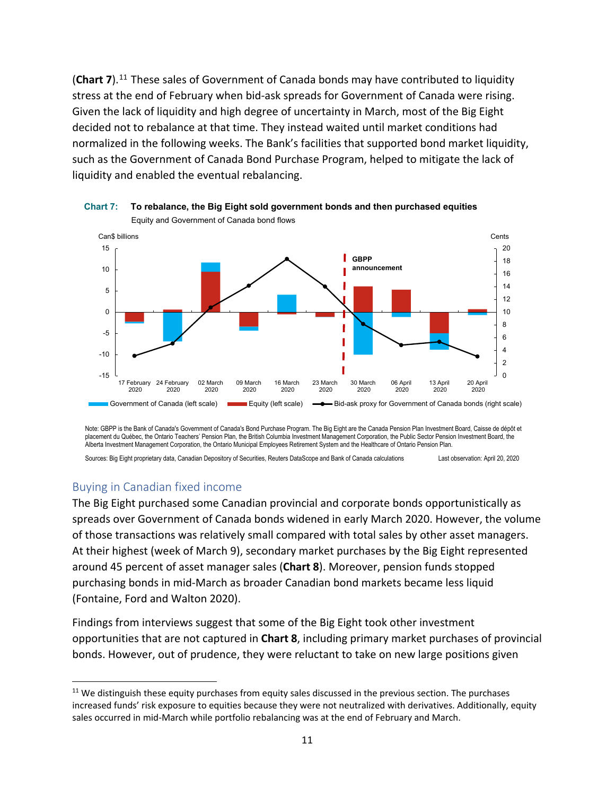(Chart 7).<sup>[11](#page-12-0)</sup> These sales of Government of Canada bonds may have contributed to liquidity stress at the end of February when bid-ask spreads for Government of Canada were rising. Given the lack of liquidity and high degree of uncertainty in March, most of the Big Eight decided not to rebalance at that time. They instead waited until market conditions had normalized in the following weeks. The Bank's facilities that supported bond market liquidity, such as the Government of Canada Bond Purchase Program, helped to mitigate the lack of liquidity and enabled the eventual rebalancing.



**Chart 7: To rebalance, the Big Eight sold government bonds and then purchased equities** Equity and Government of Canada bond flows

Note: GBPP is the Bank of Canada's Government of Canada's Bond Purchase Program. The Big Eight are the Canada Pension Plan Investment Board, Caisse de dépôt et placement du Québec, the Ontario Teachers' Pension Plan, the British Columbia Investment Management Corporation, the Public Sector Pension Investment Board, the Alberta Investment Management Corporation, the Ontario Municipal Employees Retirement System and the Healthcare of Ontario Pension Plan.

Sources: Big Eight proprietary data, Canadian Depository of Securities, Reuters DataScope and Bank of Canada calculations Last observation: April 20, 2020

#### Buying in Canadian fixed income

The Big Eight purchased some Canadian provincial and corporate bonds opportunistically as spreads over Government of Canada bonds widened in early March 2020. However, the volume of those transactions was relatively small compared with total sales by other asset managers. At their highest (week of March 9), secondary market purchases by the Big Eight represented around 45 percent of asset manager sales (**Chart 8**). Moreover, pension funds stopped purchasing bonds in mid-March as broader Canadian bond markets became less liquid (Fontaine, Ford and Walton 2020).

Findings from interviews suggest that some of the Big Eight took other investment opportunities that are not captured in **Chart 8**, including primary market purchases of provincial bonds. However, out of prudence, they were reluctant to take on new large positions given

<span id="page-12-0"></span> $11$  We distinguish these equity purchases from equity sales discussed in the previous section. The purchases increased funds' risk exposure to equities because they were not neutralized with derivatives. Additionally, equity sales occurred in mid-March while portfolio rebalancing was at the end of February and March.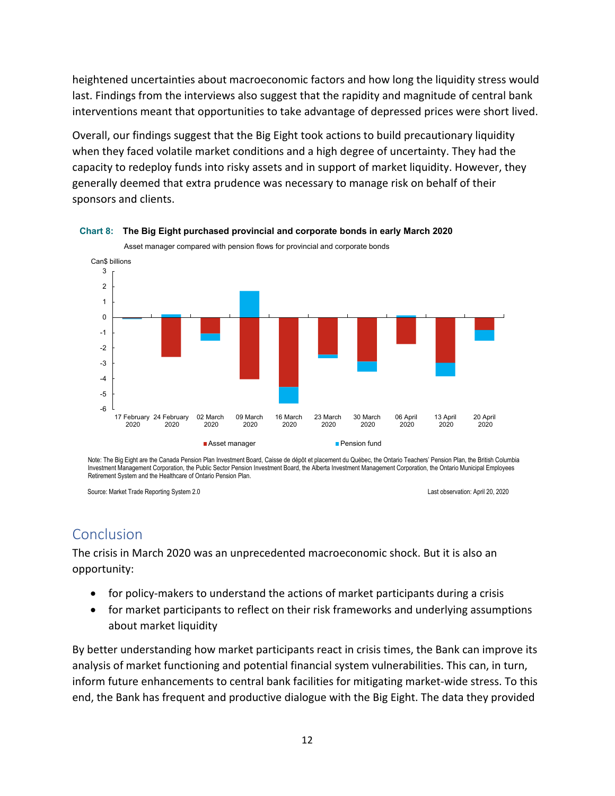heightened uncertainties about macroeconomic factors and how long the liquidity stress would last. Findings from the interviews also suggest that the rapidity and magnitude of central bank interventions meant that opportunities to take advantage of depressed prices were short lived.

Overall, our findings suggest that the Big Eight took actions to build precautionary liquidity when they faced volatile market conditions and a high degree of uncertainty. They had the capacity to redeploy funds into risky assets and in support of market liquidity. However, they generally deemed that extra prudence was necessary to manage risk on behalf of their sponsors and clients.



**Chart 8: The Big Eight purchased provincial and corporate bonds in early March 2020** 

Note: The Big Eight are the Canada Pension Plan Investment Board, Caisse de dépôt et placement du Québec, the Ontario Teachers' Pension Plan, the British Columbia Investment Management Corporation, the Public Sector Pension Investment Board, the Alberta Investment Management Corporation, the Ontario Municipal Employees Retirement System and the Healthcare of Ontario Pension Plan.

Source: Market Trade Reporting System 2.0 Last observation: April 20, 2020

# Conclusion

The crisis in March 2020 was an unprecedented macroeconomic shock. But it is also an opportunity:

- for policy-makers to understand the actions of market participants during a crisis
- for market participants to reflect on their risk frameworks and underlying assumptions about market liquidity

By better understanding how market participants react in crisis times, the Bank can improve its analysis of market functioning and potential financial system vulnerabilities. This can, in turn, inform future enhancements to central bank facilities for mitigating market-wide stress. To this end, the Bank has frequent and productive dialogue with the Big Eight. The data they provided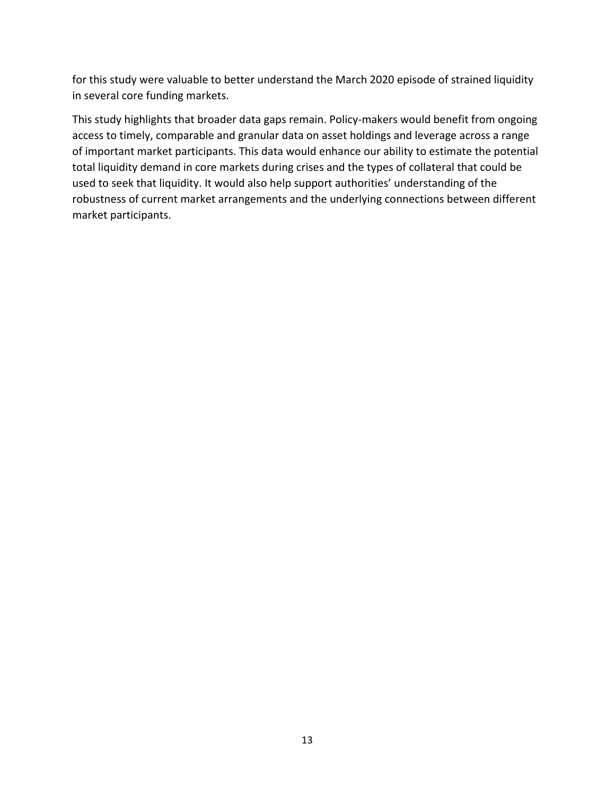for this study were valuable to better understand the March 2020 episode of strained liquidity in several core funding markets.

This study highlights that broader data gaps remain. Policy-makers would benefit from ongoing access to timely, comparable and granular data on asset holdings and leverage across a range of important market participants. This data would enhance our ability to estimate the potential total liquidity demand in core markets during crises and the types of collateral that could be used to seek that liquidity. It would also help support authorities' understanding of the robustness of current market arrangements and the underlying connections between different market participants.